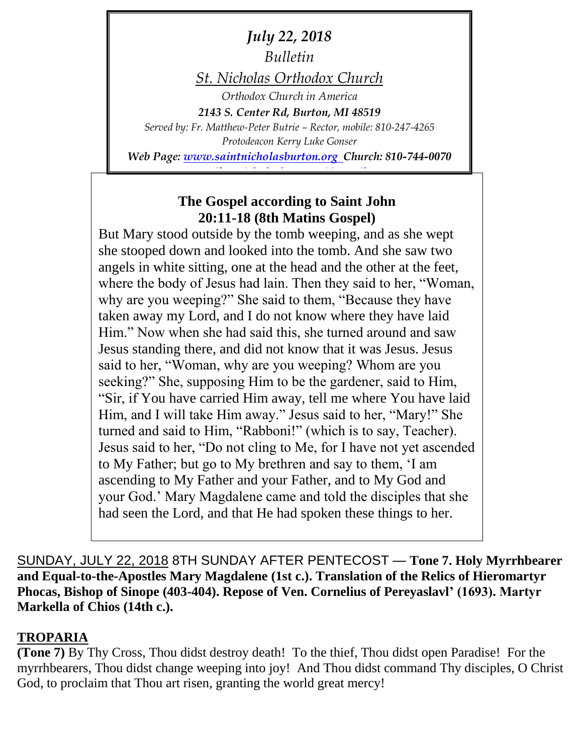*July 22, 2018 Bulletin St. Nicholas Orthodox Church Orthodox Church in America 2143 S. Center Rd, Burton, MI 48519 Served by: Fr. Matthew-Peter Butrie – Rector, mobile: 810-247-4265 Protodeacon Kerry Luke Gonser*

*Web Page: [www.saintnicholasburton.org](http://www.saintnicholasburton.org/) Church: 810-744-0070 e-mail: [stnicholasburtonmi@gmail.com](mailto:stnicholasburtonmi@gmail.com)*

## **The Gospel according to Saint John 20:11-18 (8th Matins Gospel)**

But Mary stood outside by the tomb weeping, and as she wept she stooped down and looked into the tomb. And she saw two angels in white sitting, one at the head and the other at the feet, where the body of Jesus had lain. Then they said to her, "Woman, why are you weeping?" She said to them, "Because they have taken away my Lord, and I do not know where they have laid Him." Now when she had said this, she turned around and saw Jesus standing there, and did not know that it was Jesus. Jesus said to her, "Woman, why are you weeping? Whom are you seeking?" She, supposing Him to be the gardener, said to Him, "Sir, if You have carried Him away, tell me where You have laid Him, and I will take Him away." Jesus said to her, "Mary!" She turned and said to Him, "Rabboni!" (which is to say, Teacher). Jesus said to her, "Do not cling to Me, for I have not yet ascended to My Father; but go to My brethren and say to them, 'I am ascending to My Father and your Father, and to My God and your God.' Mary Magdalene came and told the disciples that she had seen the Lord, and that He had spoken these things to her.

SUNDAY, JULY 22, 2018 8TH SUNDAY AFTER PENTECOST — **Tone 7. Holy Myrrhbearer and Equal-to-the-Apostles Mary Magdalene (1st c.). Translation of the Relics of Hieromartyr Phocas, Bishop of Sinope (403-404). Repose of Ven. Cornelius of Pereyaslavl' (1693). Martyr Markella of Chios (14th c.).**

## **TROPARIA**

**(Tone 7)** By Thy Cross, Thou didst destroy death! To the thief, Thou didst open Paradise! For the myrrhbearers, Thou didst change weeping into joy! And Thou didst command Thy disciples, O Christ God, to proclaim that Thou art risen, granting the world great mercy!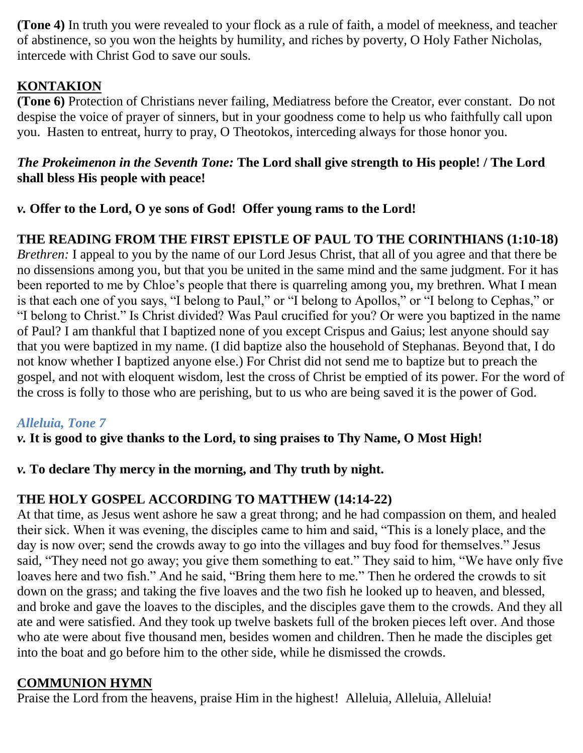**(Tone 4)** In truth you were revealed to your flock as a rule of faith, a model of meekness, and teacher of abstinence, so you won the heights by humility, and riches by poverty, O Holy Father Nicholas, intercede with Christ God to save our souls.

# **KONTAKION**

**(Tone 6)** Protection of Christians never failing, Mediatress before the Creator, ever constant. Do not despise the voice of prayer of sinners, but in your goodness come to help us who faithfully call upon you. Hasten to entreat, hurry to pray, O Theotokos, interceding always for those honor you.

## *The Prokeimenon in the Seventh Tone:* **The Lord shall give strength to His people! / The Lord shall bless His people with peace!**

### *v.* **Offer to the Lord, O ye sons of God! Offer young rams to the Lord!**

## **THE READING FROM THE FIRST EPISTLE OF PAUL TO THE CORINTHIANS (1:10-18)**

*Brethren:* I appeal to you by the name of our Lord Jesus Christ, that all of you agree and that there be no dissensions among you, but that you be united in the same mind and the same judgment. For it has been reported to me by Chloe's people that there is quarreling among you, my brethren. What I mean is that each one of you says, "I belong to Paul," or "I belong to Apollos," or "I belong to Cephas," or "I belong to Christ." Is Christ divided? Was Paul crucified for you? Or were you baptized in the name of Paul? I am thankful that I baptized none of you except Crispus and Gaius; lest anyone should say that you were baptized in my name. (I did baptize also the household of Stephanas. Beyond that, I do not know whether I baptized anyone else.) For Christ did not send me to baptize but to preach the gospel, and not with eloquent wisdom, lest the cross of Christ be emptied of its power. For the word of the cross is folly to those who are perishing, but to us who are being saved it is the power of God.

### *Alleluia, Tone 7*

*v.* **It is good to give thanks to the Lord, to sing praises to Thy Name, O Most High!**

### *v.* **To declare Thy mercy in the morning, and Thy truth by night.**

## **THE HOLY GOSPEL ACCORDING TO MATTHEW (14:14-22)**

At that time, as Jesus went ashore he saw a great throng; and he had compassion on them, and healed their sick. When it was evening, the disciples came to him and said, "This is a lonely place, and the day is now over; send the crowds away to go into the villages and buy food for themselves." Jesus said, "They need not go away; you give them something to eat." They said to him, "We have only five loaves here and two fish." And he said, "Bring them here to me." Then he ordered the crowds to sit down on the grass; and taking the five loaves and the two fish he looked up to heaven, and blessed, and broke and gave the loaves to the disciples, and the disciples gave them to the crowds. And they all ate and were satisfied. And they took up twelve baskets full of the broken pieces left over. And those who ate were about five thousand men, besides women and children. Then he made the disciples get into the boat and go before him to the other side, while he dismissed the crowds.

## **COMMUNION HYMN**

Praise the Lord from the heavens, praise Him in the highest! Alleluia, Alleluia, Alleluia!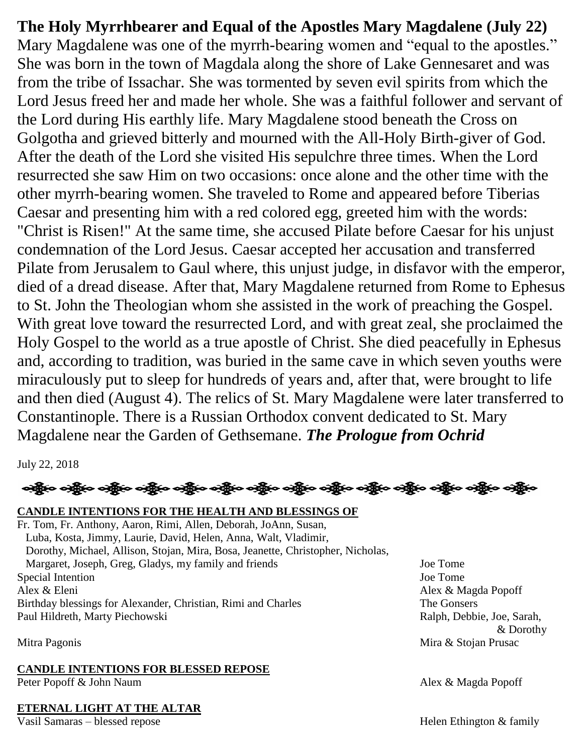**The Holy Myrrhbearer and Equal of the Apostles Mary Magdalene (July 22)**  Mary Magdalene was one of the myrrh-bearing women and "equal to the apostles." She was born in the town of Magdala along the shore of Lake Gennesaret and was from the tribe of Issachar. She was tormented by seven evil spirits from which the Lord Jesus freed her and made her whole. She was a faithful follower and servant of the Lord during His earthly life. Mary Magdalene stood beneath the Cross on Golgotha and grieved bitterly and mourned with the All-Holy Birth-giver of God. After the death of the Lord she visited His sepulchre three times. When the Lord resurrected she saw Him on two occasions: once alone and the other time with the other myrrh-bearing women. She traveled to Rome and appeared before Tiberias Caesar and presenting him with a red colored egg, greeted him with the words: "Christ is Risen!" At the same time, she accused Pilate before Caesar for his unjust condemnation of the Lord Jesus. Caesar accepted her accusation and transferred Pilate from Jerusalem to Gaul where, this unjust judge, in disfavor with the emperor, died of a dread disease. After that, Mary Magdalene returned from Rome to Ephesus to St. John the Theologian whom she assisted in the work of preaching the Gospel. With great love toward the resurrected Lord, and with great zeal, she proclaimed the Holy Gospel to the world as a true apostle of Christ. She died peacefully in Ephesus and, according to tradition, was buried in the same cave in which seven youths were miraculously put to sleep for hundreds of years and, after that, were brought to life and then died (August 4). The relics of St. Mary Magdalene were later transferred to Constantinople. There is a Russian Orthodox convent dedicated to St. Mary Magdalene near the Garden of Gethsemane. *The Prologue from Ochrid*

July 22, 2018

လန္တြိုးေလ့ရွိပဲေလ့ရွိပဲေလ့ရွိပဲေလ့ရွိပဲေလ့ရွိပဲေလ့ရွိပဲေလ့ရွိပဲေလ့ရွိပဲေလ့ရွိပဲေလ့ရွိပဲေလ့ရွိပဲေလ့ရွိပဲေ

#### **CANDLE INTENTIONS FOR THE HEALTH AND BLESSINGS OF**

Fr. Tom, Fr. Anthony, Aaron, Rimi, Allen, Deborah, JoAnn, Susan, Luba, Kosta, Jimmy, Laurie, David, Helen, Anna, Walt, Vladimir, Dorothy, Michael, Allison, Stojan, Mira, Bosa, Jeanette, Christopher, Nicholas, Margaret, Joseph, Greg, Gladys, my family and friends Joe Tome Special Intention Joe Tome Alex & Eleni Alex & Magda Popoff Birthday blessings for Alexander, Christian, Rimi and Charles The Gonsers Paul Hildreth, Marty Piechowski Ralph, Debbie, Joe, Sarah,

#### **CANDLE INTENTIONS FOR BLESSED REPOSE** Peter Popoff & John Naum Alex & Magda Popoff

#### **ETERNAL LIGHT AT THE ALTAR**

Vasil Samaras – blessed repose Helen Ethington & family

& Dorothy Mitra Pagonis Mira & Stojan Prusac